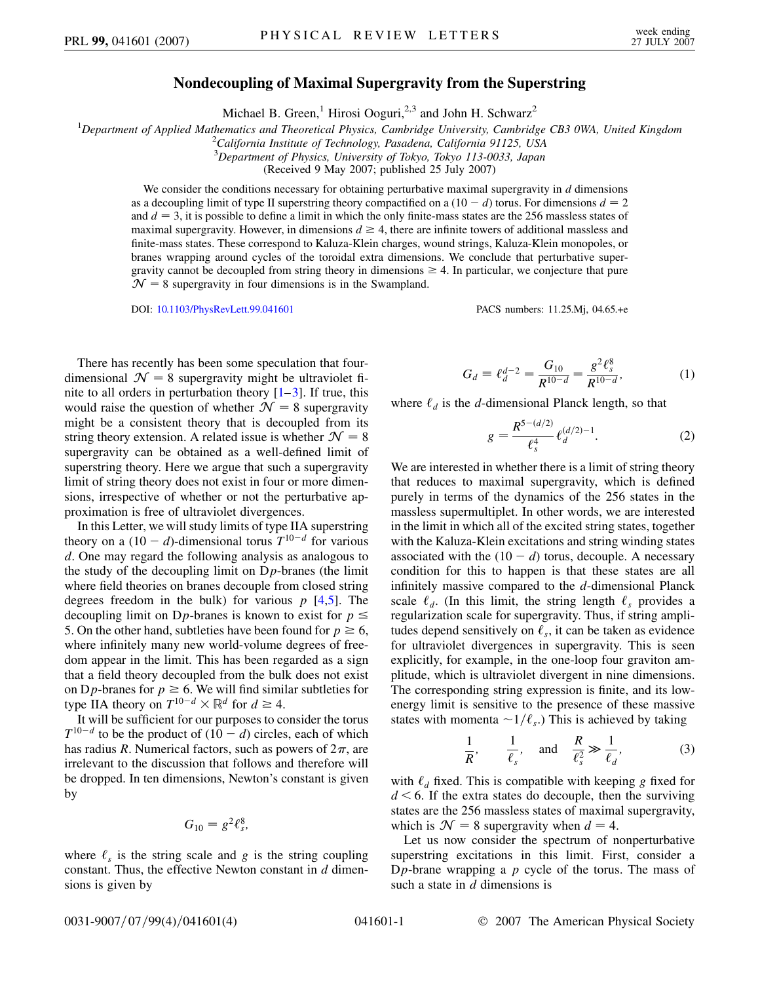## **Nondecoupling of Maximal Supergravity from the Superstring**

Michael B. Green,<sup>1</sup> Hirosi Ooguri,<sup>2,3</sup> and John H. Schwarz<sup>2</sup>

<sup>1</sup>Department of Applied Mathematics and Theoretical Physics, Cambridge University, Cambridge CB3 0WA, United Kingdom<br><sup>2</sup>California Institute of Technology Pasadana, California 01125, USA

*California Institute of Technology, Pasadena, California 91125, USA*

3 *Department of Physics, University of Tokyo, Tokyo 113-0033, Japan*

(Received 9 May 2007; published 25 July 2007)

We consider the conditions necessary for obtaining perturbative maximal supergravity in *d* dimensions as a decoupling limit of type II superstring theory compactified on a  $(10 - d)$  torus. For dimensions  $d = 2$ and  $d = 3$ , it is possible to define a limit in which the only finite-mass states are the 256 massless states of maximal supergravity. However, in dimensions  $d \geq 4$ , there are infinite towers of additional massless and finite-mass states. These correspond to Kaluza-Klein charges, wound strings, Kaluza-Klein monopoles, or branes wrapping around cycles of the toroidal extra dimensions. We conclude that perturbative supergravity cannot be decoupled from string theory in dimensions  $\geq 4$ . In particular, we conjecture that pure  $N = 8$  supergravity in four dimensions is in the Swampland.

DOI: [10.1103/PhysRevLett.99.041601](http://dx.doi.org/10.1103/PhysRevLett.99.041601) PACS numbers: 11.25.Mj, 04.65.+e

There has recently has been some speculation that fourdimensional  $\mathcal{N} = 8$  supergravity might be ultraviolet finite to all orders in perturbation theory  $[1-3]$  $[1-3]$  $[1-3]$ . If true, this would raise the question of whether  $\mathcal{N} = 8$  supergravity might be a consistent theory that is decoupled from its string theory extension. A related issue is whether  $\mathcal{N} = 8$ supergravity can be obtained as a well-defined limit of superstring theory. Here we argue that such a supergravity limit of string theory does not exist in four or more dimensions, irrespective of whether or not the perturbative approximation is free of ultraviolet divergences.

In this Letter, we will study limits of type IIA superstring theory on a  $(10 - d)$ -dimensional torus  $T^{10-d}$  for various *d*. One may regard the following analysis as analogous to the study of the decoupling limit on D*p*-branes (the limit where field theories on branes decouple from closed string degrees freedom in the bulk) for various  $p$  [\[4,](#page-3-2)[5](#page-3-3)]. The decoupling limit on D<sub>*p*</sub>-branes is known to exist for  $p \leq$ 5. On the other hand, subtleties have been found for  $p \ge 6$ , where infinitely many new world-volume degrees of freedom appear in the limit. This has been regarded as a sign that a field theory decoupled from the bulk does not exist on D*p*-branes for  $p \ge 6$ . We will find similar subtleties for type IIA theory on  $T^{10-d} \times \mathbb{R}^d$  for  $d \geq 4$ .

It will be sufficient for our purposes to consider the torus  $T^{10-d}$  to be the product of  $(10 - d)$  circles, each of which has radius *R*. Numerical factors, such as powers of  $2\pi$ , are irrelevant to the discussion that follows and therefore will be dropped. In ten dimensions, Newton's constant is given by

$$
G_{10}=g^2\ell_s^8,
$$

where  $\ell_s$  is the string scale and *g* is the string coupling constant. Thus, the effective Newton constant in *d* dimensions is given by

$$
G_d \equiv \ell_d^{d-2} = \frac{G_{10}}{R^{10-d}} = \frac{g^2 \ell_s^8}{R^{10-d}},\tag{1}
$$

<span id="page-0-2"></span><span id="page-0-1"></span>where  $\ell_d$  is the *d*-dimensional Planck length, so that

$$
g = \frac{R^{5-(d/2)}}{\ell_s^4} \ell_d^{(d/2)-1}.
$$
 (2)

We are interested in whether there is a limit of string theory that reduces to maximal supergravity, which is defined purely in terms of the dynamics of the 256 states in the massless supermultiplet. In other words, we are interested in the limit in which all of the excited string states, together with the Kaluza-Klein excitations and string winding states associated with the  $(10 - d)$  torus, decouple. A necessary condition for this to happen is that these states are all infinitely massive compared to the *d*-dimensional Planck scale  $\ell_d$ . (In this limit, the string length  $\ell_s$  provides a regularization scale for supergravity. Thus, if string amplitudes depend sensitively on  $\ell_s$ , it can be taken as evidence for ultraviolet divergences in supergravity. This is seen explicitly, for example, in the one-loop four graviton amplitude, which is ultraviolet divergent in nine dimensions. The corresponding string expression is finite, and its lowenergy limit is sensitive to the presence of these massive states with momenta  $\sim 1/\ell_s$ .) This is achieved by taking

$$
\frac{1}{R'}, \quad \frac{1}{\ell_s}, \quad \text{and} \quad \frac{R}{\ell_s^2} \gg \frac{1}{\ell_d}, \tag{3}
$$

<span id="page-0-0"></span>with  $\ell_d$  fixed. This is compatible with keeping *g* fixed for  $d \leq 6$ . If the extra states do decouple, then the surviving states are the 256 massless states of maximal supergravity, which is  $\mathcal{N} = 8$  supergravity when  $d = 4$ .

Let us now consider the spectrum of nonperturbative superstring excitations in this limit. First, consider a D*p*-brane wrapping a *p* cycle of the torus. The mass of such a state in *d* dimensions is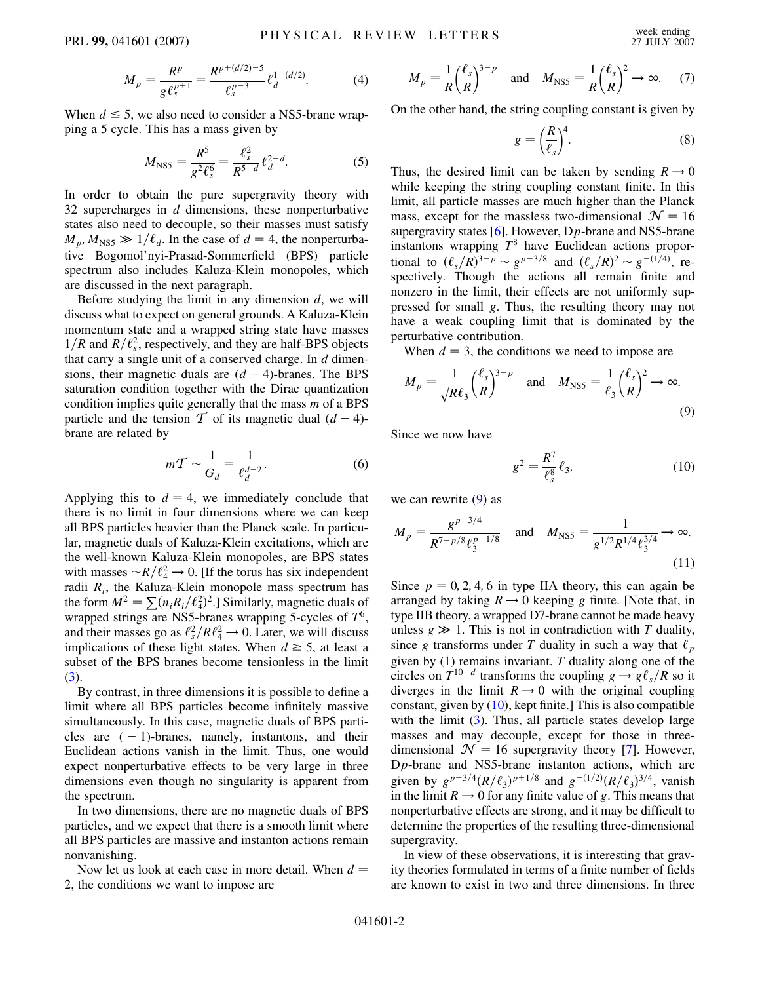$$
M_p = \frac{R^p}{g\ell_s^{p+1}} = \frac{R^{p+(d/2)-5}}{\ell_s^{p-3}} \ell_d^{1-(d/2)}.
$$
 (4)

When  $d \leq 5$ , we also need to consider a NS5-brane wrapping a 5 cycle. This has a mass given by

$$
M_{\rm NS5} = \frac{R^5}{g^2 \ell_s^6} = \frac{\ell_s^2}{R^{5-d}} \ell_d^{2-d}.
$$
 (5)

In order to obtain the pure supergravity theory with 32 supercharges in *d* dimensions, these nonperturbative states also need to decouple, so their masses must satisfy  $M_p$ ,  $M_{\text{NS5}} \gg 1/\ell_d$ . In the case of  $d = 4$ , the nonperturbative Bogomol'nyi-Prasad-Sommerfield (BPS) particle spectrum also includes Kaluza-Klein monopoles, which are discussed in the next paragraph.

Before studying the limit in any dimension *d*, we will discuss what to expect on general grounds. A Kaluza-Klein momentum state and a wrapped string state have masses  $1/R$  and  $R/\ell_s^2$ , respectively, and they are half-BPS objects that carry a single unit of a conserved charge. In *d* dimensions, their magnetic duals are  $(d - 4)$ -branes. The BPS saturation condition together with the Dirac quantization condition implies quite generally that the mass *m* of a BPS particle and the tension  $\mathcal T$  of its magnetic dual  $(d-4)$ brane are related by

$$
m\mathcal{T} \sim \frac{1}{G_d} = \frac{1}{\ell_d^{d-2}}.\tag{6}
$$

Applying this to  $d = 4$ , we immediately conclude that there is no limit in four dimensions where we can keep all BPS particles heavier than the Planck scale. In particular, magnetic duals of Kaluza-Klein excitations, which are the well-known Kaluza-Klein monopoles, are BPS states with masses  $\sim R/\ell_4^2 \rightarrow 0$ . [If the torus has six independent radii *Ri*, the Kaluza-Klein monopole mass spectrum has the form  $M^2 = \sum (n_i R_i / \ell_4^2)^2$ .] Similarly, magnetic duals of wrapped strings are NS5-branes wrapping 5-cycles of *T*6, and their masses go as  $\ell_s^2/R\ell_4^2 \rightarrow 0$ . Later, we will discuss implications of these light states. When  $d \geq 5$ , at least a subset of the BPS branes become tensionless in the limit [\(3\)](#page-0-0).

By contrast, in three dimensions it is possible to define a limit where all BPS particles become infinitely massive simultaneously. In this case, magnetic duals of BPS particles are  $(-1)$ -branes, namely, instantons, and their Euclidean actions vanish in the limit. Thus, one would expect nonperturbative effects to be very large in three dimensions even though no singularity is apparent from the spectrum.

In two dimensions, there are no magnetic duals of BPS particles, and we expect that there is a smooth limit where all BPS particles are massive and instanton actions remain nonvanishing.

Now let us look at each case in more detail. When  $d =$ 2, the conditions we want to impose are

$$
M_p = \frac{1}{R} \left(\frac{\ell_s}{R}\right)^{3-p} \quad \text{and} \quad M_{\text{NS5}} = \frac{1}{R} \left(\frac{\ell_s}{R}\right)^2 \to \infty. \tag{7}
$$

On the other hand, the string coupling constant is given by

$$
g = \left(\frac{R}{\ell_s}\right)^4. \tag{8}
$$

Thus, the desired limit can be taken by sending  $R \rightarrow 0$ while keeping the string coupling constant finite. In this limit, all particle masses are much higher than the Planck mass, except for the massless two-dimensional  $\mathcal{N} = 16$ supergravity states [\[6\]](#page-3-4). However, D*p*-brane and NS5-brane instantons wrapping *T*<sup>8</sup> have Euclidean actions proportional to  $(\ell_s/R)^{3-p} \sim g^{p-3/8}$  and  $(\ell_s/R)^2 \sim g^{-(1/4)}$ , respectively. Though the actions all remain finite and nonzero in the limit, their effects are not uniformly suppressed for small *g*. Thus, the resulting theory may not have a weak coupling limit that is dominated by the perturbative contribution.

<span id="page-1-0"></span>When  $d = 3$ , the conditions we need to impose are

$$
M_p = \frac{1}{\sqrt{R\ell_3}} \left(\frac{\ell_s}{R}\right)^{3-p} \quad \text{and} \quad M_{\text{NS5}} = \frac{1}{\ell_3} \left(\frac{\ell_s}{R}\right)^2 \to \infty.
$$
\n(9)

<span id="page-1-1"></span>Since we now have

$$
g^2 = \frac{R^7}{\ell_s^8} \ell_3,\tag{10}
$$

we can rewrite  $(9)$  $(9)$  $(9)$  as

$$
M_p = \frac{g^{p-3/4}}{R^{7-p/8} \ell_3^{p+1/8}} \quad \text{and} \quad M_{\text{NS5}} = \frac{1}{g^{1/2} R^{1/4} \ell_3^{3/4}} \to \infty.
$$
\n(11)

Since  $p = 0, 2, 4, 6$  in type IIA theory, this can again be arranged by taking  $R \rightarrow 0$  keeping *g* finite. [Note that, in type IIB theory, a wrapped D7-brane cannot be made heavy unless  $g \gg 1$ . This is not in contradiction with *T* duality, since *g* transforms under *T* duality in such a way that  $\ell_p$ given by [\(1](#page-0-1)) remains invariant. *T* duality along one of the circles on  $T^{10-d}$  transforms the coupling  $g \rightarrow g \ell_s / R$  so it diverges in the limit  $R \rightarrow 0$  with the original coupling constant, given by  $(10)$  $(10)$  $(10)$ , kept finite.] This is also compatible with the limit  $(3)$  $(3)$  $(3)$ . Thus, all particle states develop large masses and may decouple, except for those in threedimensional  $\mathcal{N} = 16$  supergravity theory [\[7\]](#page-3-5). However, D*p*-brane and NS5-brane instanton actions, which are given by  $g^{p-3/4}(R/\ell_3)^{p+1/8}$  and  $g^{-(1/2)}(R/\ell_3)^{3/4}$ , vanish in the limit  $R \rightarrow 0$  for any finite value of g. This means that nonperturbative effects are strong, and it may be difficult to determine the properties of the resulting three-dimensional supergravity.

In view of these observations, it is interesting that gravity theories formulated in terms of a finite number of fields are known to exist in two and three dimensions. In three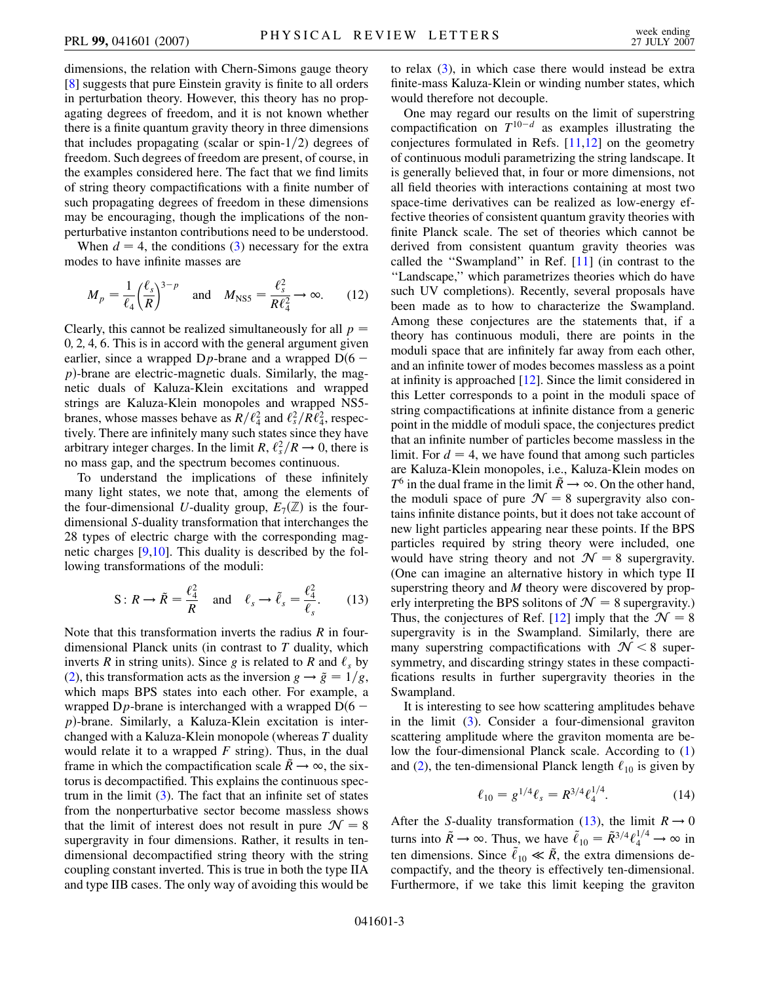dimensions, the relation with Chern-Simons gauge theory [\[8\]](#page-3-6) suggests that pure Einstein gravity is finite to all orders in perturbation theory. However, this theory has no propagating degrees of freedom, and it is not known whether there is a finite quantum gravity theory in three dimensions that includes propagating (scalar or spin- $1/2$ ) degrees of freedom. Such degrees of freedom are present, of course, in the examples considered here. The fact that we find limits of string theory compactifications with a finite number of such propagating degrees of freedom in these dimensions may be encouraging, though the implications of the nonperturbative instanton contributions need to be understood.

When  $d = 4$ , the conditions ([3\)](#page-0-0) necessary for the extra modes to have infinite masses are

$$
M_p = \frac{1}{\ell_4} \left(\frac{\ell_s}{R}\right)^{3-p} \quad \text{and} \quad M_{\text{NS5}} = \frac{\ell_s^2}{R\ell_4^2} \to \infty. \tag{12}
$$

Clearly, this cannot be realized simultaneously for all  $p =$ 0*;* 2*;* 4*;* 6. This is in accord with the general argument given earlier, since a wrapped  $Dp$ -brane and a wrapped  $D(6$ *p*)-brane are electric-magnetic duals. Similarly, the magnetic duals of Kaluza-Klein excitations and wrapped strings are Kaluza-Klein monopoles and wrapped NS5 branes, whose masses behave as  $R/\ell_4^2$  and  $\ell_s^2/R\ell_4^2$ , respectively. There are infinitely many such states since they have arbitrary integer charges. In the limit  $R$ ,  $\ell_s^2/R \rightarrow 0$ , there is no mass gap, and the spectrum becomes continuous.

To understand the implications of these infinitely many light states, we note that, among the elements of the four-dimensional *U*-duality group,  $E_7(\mathbb{Z})$  is the fourdimensional *S*-duality transformation that interchanges the 28 types of electric charge with the corresponding magnetic charges [[9](#page-3-7),[10](#page-3-8)]. This duality is described by the following transformations of the moduli:

<span id="page-2-0"></span>
$$
S: R \to \tilde{R} = \frac{\ell_4^2}{R} \quad \text{and} \quad \ell_s \to \tilde{\ell}_s = \frac{\ell_4^2}{\ell_s}.
$$
 (13)

Note that this transformation inverts the radius *R* in fourdimensional Planck units (in contrast to *T* duality, which inverts *R* in string units). Since *g* is related to *R* and  $\ell_s$  by [\(2\)](#page-0-2), this transformation acts as the inversion  $g \rightarrow \tilde{g} = 1/g$ , which maps BPS states into each other. For example, a wrapped  $Dp$ -brane is interchanged with a wrapped  $D(6$ *p*-brane. Similarly, a Kaluza-Klein excitation is interchanged with a Kaluza-Klein monopole (whereas *T* duality would relate it to a wrapped *F* string). Thus, in the dual frame in which the compactification scale  $\tilde{R} \rightarrow \infty$ , the sixtorus is decompactified. This explains the continuous spectrum in the limit  $(3)$  $(3)$  $(3)$ . The fact that an infinite set of states from the nonperturbative sector become massless shows that the limit of interest does not result in pure  $\mathcal{N} = 8$ supergravity in four dimensions. Rather, it results in tendimensional decompactified string theory with the string coupling constant inverted. This is true in both the type IIA and type IIB cases. The only way of avoiding this would be to relax ([3](#page-0-0)), in which case there would instead be extra finite-mass Kaluza-Klein or winding number states, which would therefore not decouple.

One may regard our results on the limit of superstring compactification on  $T^{10-d}$  as examples illustrating the conjectures formulated in Refs. [\[11,](#page-3-9)[12\]](#page-3-10) on the geometry of continuous moduli parametrizing the string landscape. It is generally believed that, in four or more dimensions, not all field theories with interactions containing at most two space-time derivatives can be realized as low-energy effective theories of consistent quantum gravity theories with finite Planck scale. The set of theories which cannot be derived from consistent quantum gravity theories was called the ''Swampland'' in Ref. [\[11\]](#page-3-9) (in contrast to the ''Landscape,'' which parametrizes theories which do have such UV completions). Recently, several proposals have been made as to how to characterize the Swampland. Among these conjectures are the statements that, if a theory has continuous moduli, there are points in the moduli space that are infinitely far away from each other, and an infinite tower of modes becomes massless as a point at infinity is approached [[12\]](#page-3-10). Since the limit considered in this Letter corresponds to a point in the moduli space of string compactifications at infinite distance from a generic point in the middle of moduli space, the conjectures predict that an infinite number of particles become massless in the limit. For  $d = 4$ , we have found that among such particles are Kaluza-Klein monopoles, i.e., Kaluza-Klein modes on  $T^6$  in the dual frame in the limit  $\tilde{R} \rightarrow \infty$ . On the other hand, the moduli space of pure  $\mathcal{N} = 8$  supergravity also contains infinite distance points, but it does not take account of new light particles appearing near these points. If the BPS particles required by string theory were included, one would have string theory and not  $\mathcal{N} = 8$  supergravity. (One can imagine an alternative history in which type II superstring theory and *M* theory were discovered by properly interpreting the BPS solitons of  $\mathcal{N} = 8$  supergravity.) Thus, the conjectures of Ref. [\[12](#page-3-10)] imply that the  $\mathcal{N} = 8$ supergravity is in the Swampland. Similarly, there are many superstring compactifications with  $\mathcal{N}$  < 8 supersymmetry, and discarding stringy states in these compactifications results in further supergravity theories in the Swampland.

It is interesting to see how scattering amplitudes behave in the limit [\(3\)](#page-0-0). Consider a four-dimensional graviton scattering amplitude where the graviton momenta are below the four-dimensional Planck scale. According to [\(1\)](#page-0-1) and ([2\)](#page-0-2), the ten-dimensional Planck length  $\ell_{10}$  is given by

$$
\ell_{10} = g^{1/4} \ell_s = R^{3/4} \ell_4^{1/4}.
$$
 (14)

After the *S*-duality transformation [\(13\)](#page-2-0), the limit  $R \rightarrow 0$ turns into  $\tilde{R} \rightarrow \infty$ . Thus, we have  $\tilde{\ell}_{10} = \tilde{R}^{3/4} \ell_4^{1/4} \rightarrow \infty$  in ten dimensions. Since  $\tilde{\ell}_{10} \ll \tilde{R}$ , the extra dimensions decompactify, and the theory is effectively ten-dimensional. Furthermore, if we take this limit keeping the graviton